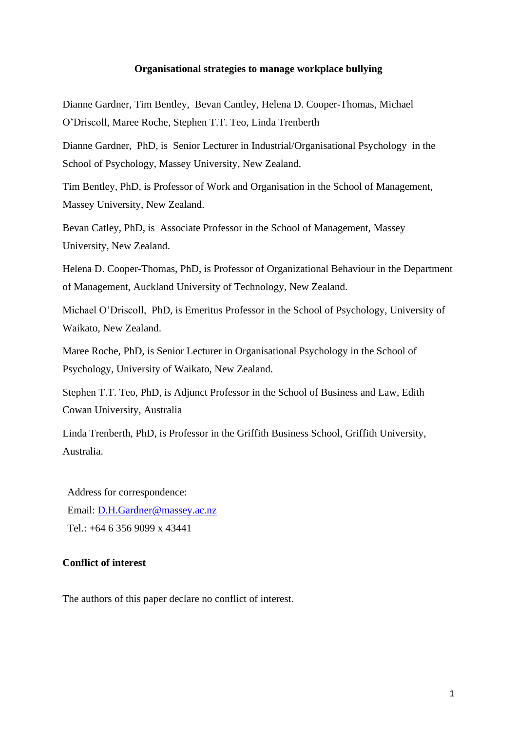#### **Organisational strategies to manage workplace bullying**

Dianne Gardner, Tim Bentley, Bevan Cantley, Helena D. Cooper-Thomas, Michael O'Driscoll, Maree Roche, Stephen T.T. Teo, Linda Trenberth

Dianne Gardner, PhD, is Senior Lecturer in Industrial/Organisational Psychology in the School of Psychology, Massey University, New Zealand.

Tim Bentley, PhD, is Professor of Work and Organisation in the School of Management, Massey University, New Zealand.

Bevan Catley, PhD, is Associate Professor in the School of Management, Massey University, New Zealand.

Helena D. Cooper-Thomas, PhD, is Professor of Organizational Behaviour in the Department of Management, Auckland University of Technology, New Zealand.

Michael O'Driscoll, PhD, is Emeritus Professor in the School of Psychology, University of Waikato, New Zealand.

Maree Roche, PhD, is Senior Lecturer in Organisational Psychology in the School of Psychology, University of Waikato, New Zealand.

Stephen T.T. Teo, PhD, is Adjunct Professor in the School of Business and Law, Edith Cowan University, Australia

Linda Trenberth, PhD, is Professor in the Griffith Business School, Griffith University, Australia.

Address for correspondence: Email: [D.H.Gardner@massey.ac.nz](mailto:D.H.Gardner@massey.ac.nz) Tel.: +64 6 356 9099 x 43441

### **Conflict of interest**

The authors of this paper declare no conflict of interest.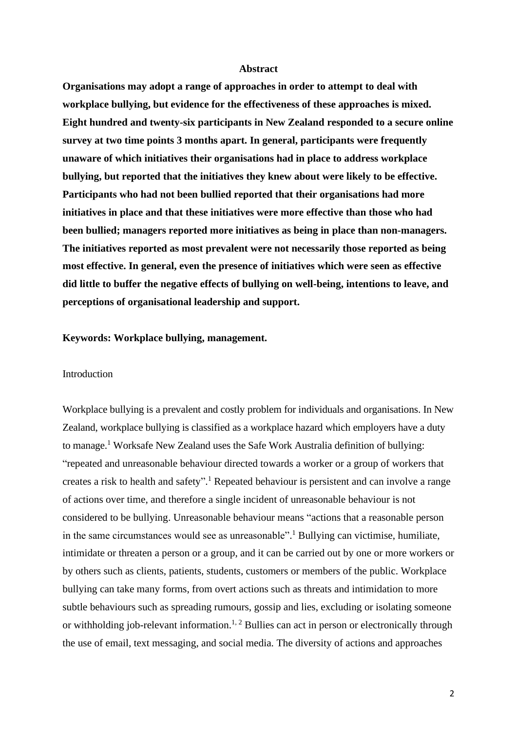### **Abstract**

**Organisations may adopt a range of approaches in order to attempt to deal with workplace bullying, but evidence for the effectiveness of these approaches is mixed. Eight hundred and twenty-six participants in New Zealand responded to a secure online survey at two time points 3 months apart. In general, participants were frequently unaware of which initiatives their organisations had in place to address workplace bullying, but reported that the initiatives they knew about were likely to be effective. Participants who had not been bullied reported that their organisations had more initiatives in place and that these initiatives were more effective than those who had been bullied; managers reported more initiatives as being in place than non-managers. The initiatives reported as most prevalent were not necessarily those reported as being most effective. In general, even the presence of initiatives which were seen as effective did little to buffer the negative effects of bullying on well-being, intentions to leave, and perceptions of organisational leadership and support.** 

#### **Keywords: Workplace bullying, management.**

#### Introduction

Workplace bullying is a prevalent and costly problem for individuals and organisations. In New Zealand, workplace bullying is classified as a workplace hazard which employers have a duty to manage.<sup>[1](#page-9-0)</sup> Worksafe New Zealand uses the Safe Work Australia definition of bullying: "repeated and unreasonable behaviour directed towards a worker or a group of workers that creates a risk to health and safety". [1](#page-9-0) Repeated behaviour is persistent and can involve a range of actions over time, and therefore a single incident of unreasonable behaviour is not considered to be bullying. Unreasonable behaviour means "actions that a reasonable person in the same circumstances would see as unreasonable". [1](#page-9-0) Bullying can victimise, humiliate, intimidate or threaten a person or a group, and it can be carried out by one or more workers or by others such as clients, patients, students, customers or members of the public. Workplace bullying can take many forms, from overt actions such as threats and intimidation to more subtle behaviours such as spreading rumours, gossip and lies, excluding or isolating someone or withholding job-relevant information.<sup>[1,](#page-9-0) [2](#page-9-1)</sup> Bullies can act in person or electronically through the use of email, text messaging, and social media. The diversity of actions and approaches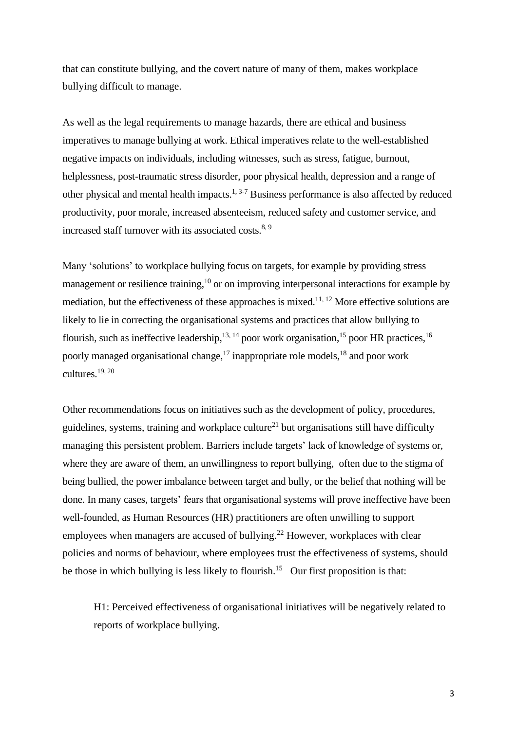that can constitute bullying, and the covert nature of many of them, makes workplace bullying difficult to manage.

As well as the legal requirements to manage hazards, there are ethical and business imperatives to manage bullying at work. Ethical imperatives relate to the well-established negative impacts on individuals, including witnesses, such as stress, fatigue, burnout, helplessness, post-traumatic stress disorder, poor physical health, depression and a range of other physical and mental health impacts.<sup>[1,](#page-9-0) [3-7](#page-9-2)</sup> Business performance is also affected by reduced productivity, poor morale, increased absenteeism, reduced safety and customer service, and increased staff turnover with its associated costs.<sup>[8,](#page-10-0) [9](#page-10-1)</sup>

Many 'solutions' to workplace bullying focus on targets, for example by providing stress management or resilience training,<sup>[10](#page-10-2)</sup> or on improving interpersonal interactions for example by mediation, but the effectiveness of these approaches is mixed.<sup>[11,](#page-10-3) [12](#page-10-4)</sup> More effective solutions are likely to lie in correcting the organisational systems and practices that allow bullying to flourish, such as ineffective leadership,  $13, 14$  $13, 14$  poor work organisation,  $15$  poor HR practices,  $16$ poorly managed organisational change,<sup>[17](#page-10-9)</sup> inappropriate role models,<sup>[18](#page-10-10)</sup> and poor work cultures. [19,](#page-10-11) [20](#page-10-12)

Other recommendations focus on initiatives such as the development of policy, procedures, guidelines, systems, training and workplace culture<sup>[21](#page-10-13)</sup> but organisations still have difficulty managing this persistent problem. Barriers include targets' lack of knowledge of systems or, where they are aware of them, an unwillingness to report bullying, often due to the stigma of being bullied, the power imbalance between target and bully, or the belief that nothing will be done. In many cases, targets' fears that organisational systems will prove ineffective have been well-founded, as Human Resources (HR) practitioners are often unwilling to support employees when managers are accused of bullying.<sup>[22](#page-10-14)</sup> However, workplaces with clear policies and norms of behaviour, where employees trust the effectiveness of systems, should be those in which bullying is less likely to flourish.<sup>[15](#page-10-7)</sup> Our first proposition is that:

H1: Perceived effectiveness of organisational initiatives will be negatively related to reports of workplace bullying.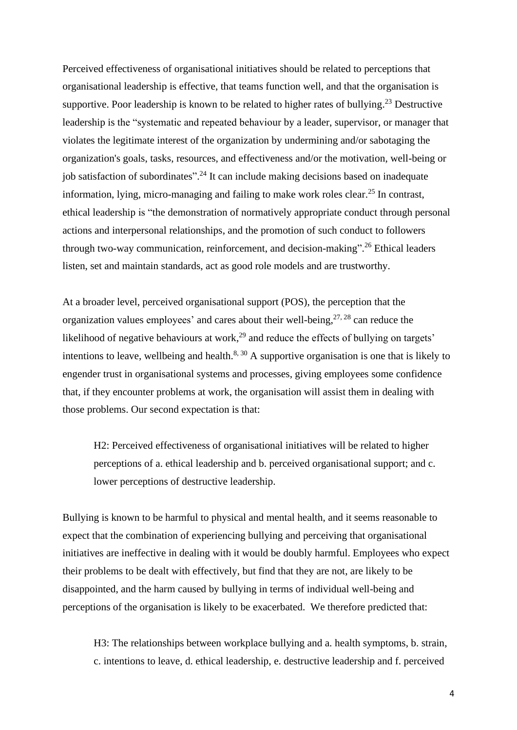Perceived effectiveness of organisational initiatives should be related to perceptions that organisational leadership is effective, that teams function well, and that the organisation is supportive. Poor leadership is known to be related to higher rates of bullying.<sup>[23](#page-11-0)</sup> Destructive leadership is the "systematic and repeated behaviour by a leader, supervisor, or manager that violates the legitimate interest of the organization by undermining and/or sabotaging the organization's goals, tasks, resources, and effectiveness and/or the motivation, well-being or job satisfaction of subordinates".<sup>[24](#page-11-1)</sup> It can include making decisions based on inadequate information, lying, micro-managing and failing to make work roles clear.<sup>[25](#page-11-2)</sup> In contrast, ethical leadership is "the demonstration of normatively appropriate conduct through personal actions and interpersonal relationships, and the promotion of such conduct to followers through two-way communication, reinforcement, and decision-making".<sup>[26](#page-11-3)</sup> Ethical leaders listen, set and maintain standards, act as good role models and are trustworthy.

At a broader level, perceived organisational support (POS), the perception that the organization values employees' and cares about their well-being,  $27, 28$  $27, 28$  can reduce the likelihood of negative behaviours at work,<sup>[29](#page-11-6)</sup> and reduce the effects of bullying on targets' intentions to leave, wellbeing and health.<sup>[8,](#page-10-0) [30](#page-11-7)</sup> A supportive organisation is one that is likely to engender trust in organisational systems and processes, giving employees some confidence that, if they encounter problems at work, the organisation will assist them in dealing with those problems. Our second expectation is that:

H2: Perceived effectiveness of organisational initiatives will be related to higher perceptions of a. ethical leadership and b. perceived organisational support; and c. lower perceptions of destructive leadership.

Bullying is known to be harmful to physical and mental health, and it seems reasonable to expect that the combination of experiencing bullying and perceiving that organisational initiatives are ineffective in dealing with it would be doubly harmful. Employees who expect their problems to be dealt with effectively, but find that they are not, are likely to be disappointed, and the harm caused by bullying in terms of individual well-being and perceptions of the organisation is likely to be exacerbated. We therefore predicted that:

H3: The relationships between workplace bullying and a. health symptoms, b. strain, c. intentions to leave, d. ethical leadership, e. destructive leadership and f. perceived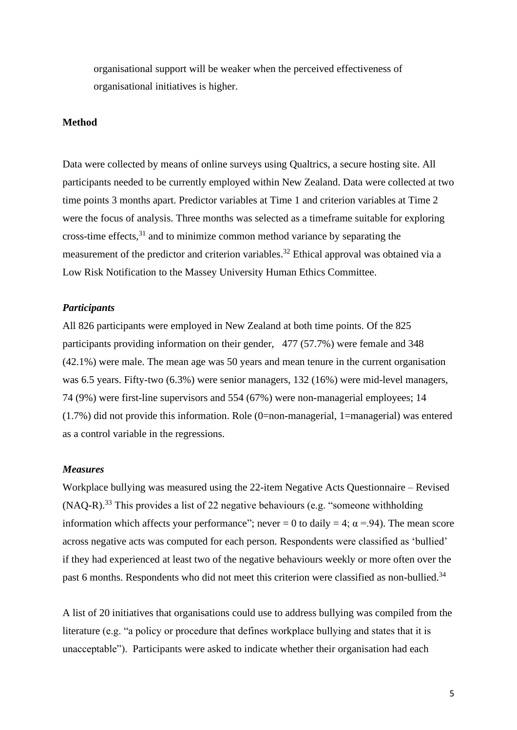organisational support will be weaker when the perceived effectiveness of organisational initiatives is higher.

## **Method**

Data were collected by means of online surveys using Qualtrics, a secure hosting site. All participants needed to be currently employed within New Zealand. Data were collected at two time points 3 months apart. Predictor variables at Time 1 and criterion variables at Time 2 were the focus of analysis. Three months was selected as a timeframe suitable for exploring cross-time effects, [31](#page-11-8) and to minimize common method variance by separating the measurement of the predictor and criterion variables.<sup>[32](#page-11-9)</sup> Ethical approval was obtained via a Low Risk Notification to the Massey University Human Ethics Committee.

# *Participants*

All 826 participants were employed in New Zealand at both time points. Of the 825 participants providing information on their gender, 477 (57.7%) were female and 348 (42.1%) were male. The mean age was 50 years and mean tenure in the current organisation was 6.5 years. Fifty-two (6.3%) were senior managers, 132 (16%) were mid-level managers, 74 (9%) were first-line supervisors and 554 (67%) were non-managerial employees; 14 (1.7%) did not provide this information. Role (0=non-managerial, 1=managerial) was entered as a control variable in the regressions.

### *Measures*

Workplace bullying was measured using the 22-item Negative Acts Questionnaire – Revised (NAQ-R). [33](#page-11-10) This provides a list of 22 negative behaviours (e.g. "someone withholding information which affects your performance"; never = 0 to daily = 4;  $\alpha$  = 94). The mean score across negative acts was computed for each person. Respondents were classified as 'bullied' if they had experienced at least two of the negative behaviours weekly or more often over the past 6 months. Respondents who did not meet this criterion were classified as non-bullied.<sup>[34](#page-11-11)</sup>

A list of 20 initiatives that organisations could use to address bullying was compiled from the literature (e.g. "a policy or procedure that defines workplace bullying and states that it is unacceptable"). Participants were asked to indicate whether their organisation had each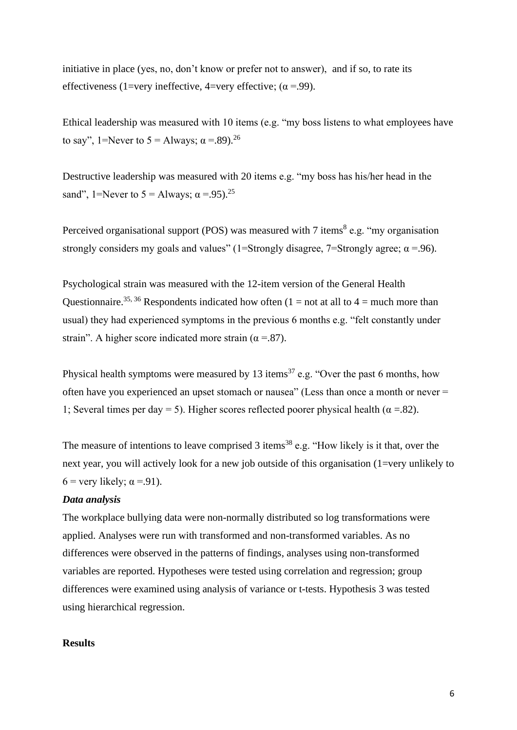initiative in place (yes, no, don't know or prefer not to answer), and if so, to rate its effectiveness (1=very ineffective, 4=very effective;  $(\alpha = .99)$ .

Ethical leadership was measured with 10 items (e.g. "my boss listens to what employees have to say", 1=Never to  $5 =$  Always;  $\alpha = .89$ .<sup>[26](#page-11-3)</sup>

Destructive leadership was measured with 20 items e.g. "my boss has his/her head in the sand", 1=Never to  $5 =$  Always;  $\alpha = .95$ .<sup>[25](#page-11-2)</sup>

Perceived organisational support (POS) was measured with  $7$  items<sup>[8](#page-10-0)</sup> e.g. "my organisation strongly considers my goals and values" (1=Strongly disagree, 7=Strongly agree;  $\alpha$  =.96).

Psychological strain was measured with the 12-item version of the General Health Questionnaire.<sup>[35,](#page-11-12) [36](#page-11-13)</sup> Respondents indicated how often (1 = not at all to 4 = much more than usual) they had experienced symptoms in the previous 6 months e.g. "felt constantly under strain". A higher score indicated more strain ( $\alpha = .87$ ).

Physical health symptoms were measured by 13 items<sup>[37](#page-11-14)</sup> e.g. "Over the past 6 months, how often have you experienced an upset stomach or nausea" (Less than once a month or never = 1; Several times per day = 5). Higher scores reflected poorer physical health ( $\alpha$  = 82).

The measure of intentions to leave comprised 3 items<sup>[38](#page-11-15)</sup> e.g. "How likely is it that, over the next year, you will actively look for a new job outside of this organisation (1=very unlikely to 6 = very likely;  $\alpha$  =.91).

# *Data analysis*

The workplace bullying data were non-normally distributed so log transformations were applied. Analyses were run with transformed and non-transformed variables. As no differences were observed in the patterns of findings, analyses using non-transformed variables are reported. Hypotheses were tested using correlation and regression; group differences were examined using analysis of variance or t-tests. Hypothesis 3 was tested using hierarchical regression.

# **Results**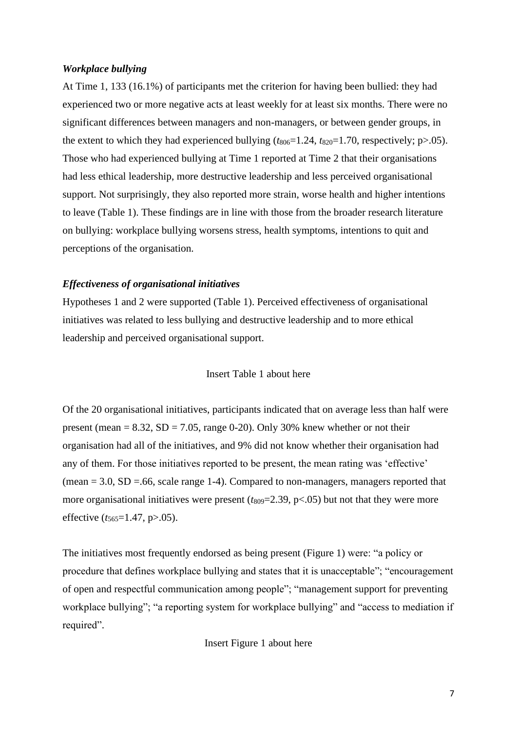### *Workplace bullying*

At Time 1, 133 (16.1%) of participants met the criterion for having been bullied: they had experienced two or more negative acts at least weekly for at least six months. There were no significant differences between managers and non-managers, or between gender groups, in the extent to which they had experienced bullying  $(t_{806}=1.24, t_{820}=1.70,$  respectively; p $> 0.05$ ). Those who had experienced bullying at Time 1 reported at Time 2 that their organisations had less ethical leadership, more destructive leadership and less perceived organisational support. Not surprisingly, they also reported more strain, worse health and higher intentions to leave (Table 1). These findings are in line with those from the broader research literature on bullying: workplace bullying worsens stress, health symptoms, intentions to quit and perceptions of the organisation.

## *Effectiveness of organisational initiatives*

Hypotheses 1 and 2 were supported (Table 1). Perceived effectiveness of organisational initiatives was related to less bullying and destructive leadership and to more ethical leadership and perceived organisational support.

## Insert Table 1 about here

Of the 20 organisational initiatives, participants indicated that on average less than half were present (mean  $= 8.32$ , SD  $= 7.05$ , range 0-20). Only 30% knew whether or not their organisation had all of the initiatives, and 9% did not know whether their organisation had any of them. For those initiatives reported to be present, the mean rating was 'effective'  $(mean = 3.0, SD = .66, scale range 1-4)$ . Compared to non-managers, managers reported that more organisational initiatives were present  $(t_{809}=2.39, p<.05)$  but not that they were more effective ( $t_{565}=1.47$ , p>.05).

The initiatives most frequently endorsed as being present (Figure 1) were: "a policy or procedure that defines workplace bullying and states that it is unacceptable"; "encouragement of open and respectful communication among people"; "management support for preventing workplace bullying"; "a reporting system for workplace bullying" and "access to mediation if required".

Insert Figure 1 about here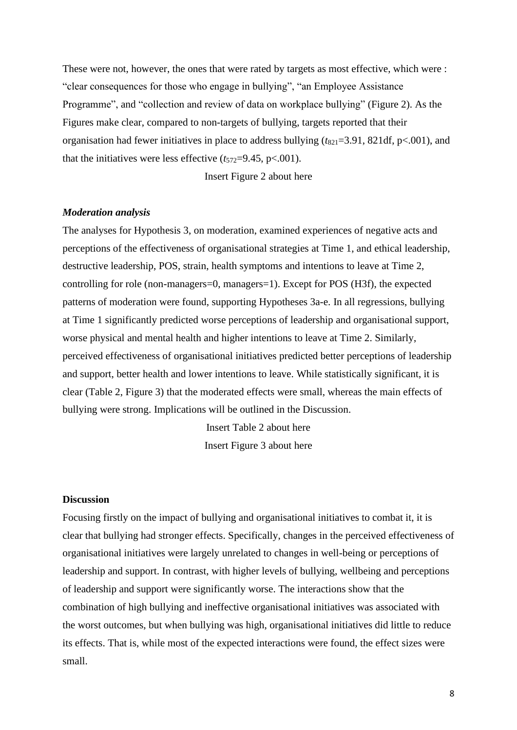These were not, however, the ones that were rated by targets as most effective, which were : "clear consequences for those who engage in bullying", "an Employee Assistance Programme", and "collection and review of data on workplace bullying" (Figure 2). As the Figures make clear, compared to non-targets of bullying, targets reported that their organisation had fewer initiatives in place to address bullying  $(t_{821}=3.91, 821df, p<.001)$ , and that the initiatives were less effective  $(t_{572}=9.45, p<.001)$ .

Insert Figure 2 about here

### *Moderation analysis*

The analyses for Hypothesis 3, on moderation, examined experiences of negative acts and perceptions of the effectiveness of organisational strategies at Time 1, and ethical leadership, destructive leadership, POS, strain, health symptoms and intentions to leave at Time 2, controlling for role (non-managers=0, managers=1). Except for POS (H3f), the expected patterns of moderation were found, supporting Hypotheses 3a-e. In all regressions, bullying at Time 1 significantly predicted worse perceptions of leadership and organisational support, worse physical and mental health and higher intentions to leave at Time 2. Similarly, perceived effectiveness of organisational initiatives predicted better perceptions of leadership and support, better health and lower intentions to leave. While statistically significant, it is clear (Table 2, Figure 3) that the moderated effects were small, whereas the main effects of bullying were strong. Implications will be outlined in the Discussion.

> Insert Table 2 about here Insert Figure 3 about here

#### **Discussion**

Focusing firstly on the impact of bullying and organisational initiatives to combat it, it is clear that bullying had stronger effects. Specifically, changes in the perceived effectiveness of organisational initiatives were largely unrelated to changes in well-being or perceptions of leadership and support. In contrast, with higher levels of bullying, wellbeing and perceptions of leadership and support were significantly worse. The interactions show that the combination of high bullying and ineffective organisational initiatives was associated with the worst outcomes, but when bullying was high, organisational initiatives did little to reduce its effects. That is, while most of the expected interactions were found, the effect sizes were small.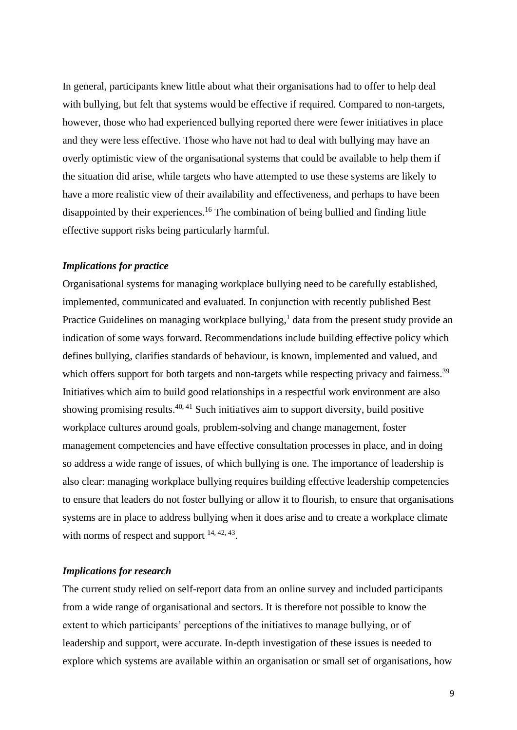In general, participants knew little about what their organisations had to offer to help deal with bullying, but felt that systems would be effective if required. Compared to non-targets, however, those who had experienced bullying reported there were fewer initiatives in place and they were less effective. Those who have not had to deal with bullying may have an overly optimistic view of the organisational systems that could be available to help them if the situation did arise, while targets who have attempted to use these systems are likely to have a more realistic view of their availability and effectiveness, and perhaps to have been disappointed by their experiences. [16](#page-10-8) The combination of being bullied and finding little effective support risks being particularly harmful.

### *Implications for practice*

Organisational systems for managing workplace bullying need to be carefully established, implemented, communicated and evaluated. In conjunction with recently published Best Practice Guidelines on managing workplace bullying,<sup>[1](#page-9-0)</sup> data from the present study provide an indication of some ways forward. Recommendations include building effective policy which defines bullying, clarifies standards of behaviour, is known, implemented and valued, and which offers support for both targets and non-targets while respecting privacy and fairness.<sup>[39](#page-11-16)</sup> Initiatives which aim to build good relationships in a respectful work environment are also showing promising results.<sup>[40,](#page-11-17) [41](#page-12-0)</sup> Such initiatives aim to support diversity, build positive workplace cultures around goals, problem-solving and change management, foster management competencies and have effective consultation processes in place, and in doing so address a wide range of issues, of which bullying is one. The importance of leadership is also clear: managing workplace bullying requires building effective leadership competencies to ensure that leaders do not foster bullying or allow it to flourish, to ensure that organisations systems are in place to address bullying when it does arise and to create a workplace climate with norms of respect and support  $14, 42, 43$  $14, 42, 43$  $14, 42, 43$ .

#### *Implications for research*

The current study relied on self-report data from an online survey and included participants from a wide range of organisational and sectors. It is therefore not possible to know the extent to which participants' perceptions of the initiatives to manage bullying, or of leadership and support, were accurate. In-depth investigation of these issues is needed to explore which systems are available within an organisation or small set of organisations, how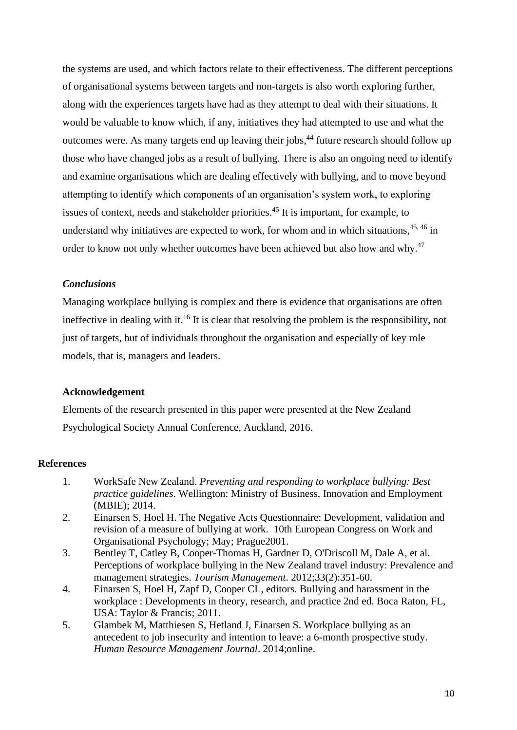the systems are used, and which factors relate to their effectiveness. The different perceptions of organisational systems between targets and non-targets is also worth exploring further, along with the experiences targets have had as they attempt to deal with their situations. It would be valuable to know which, if any, initiatives they had attempted to use and what the outcomes were. As many targets end up leaving their jobs,<sup>[44](#page-12-3)</sup> future research should follow up those who have changed jobs as a result of bullying. There is also an ongoing need to identify and examine organisations which are dealing effectively with bullying, and to move beyond attempting to identify which components of an organisation's system work, to exploring issues of context, needs and stakeholder priorities. [45](#page-12-4) It is important, for example, to understand why initiatives are expected to work, for whom and in which situations,<sup>[45,](#page-12-4)46</sup> in order to know not only whether outcomes have been achieved but also how and why.<sup>[47](#page-12-6)</sup>

## *Conclusions*

Managing workplace bullying is complex and there is evidence that organisations are often ineffective in dealing with it.<sup>[16](#page-10-8)</sup> It is clear that resolving the problem is the responsibility, not just of targets, but of individuals throughout the organisation and especially of key role models, that is, managers and leaders.

### **Acknowledgement**

Elements of the research presented in this paper were presented at the New Zealand Psychological Society Annual Conference, Auckland, 2016.

### **References**

- <span id="page-9-0"></span>1. WorkSafe New Zealand. *Preventing and responding to workplace bullying: Best practice guidelines*. Wellington: Ministry of Business, Innovation and Employment (MBIE); 2014.
- <span id="page-9-1"></span>2. Einarsen S, Hoel H. The Negative Acts Questionnaire: Development, validation and revision of a measure of bullying at work. 10th European Congress on Work and Organisational Psychology; May; Prague2001.
- <span id="page-9-2"></span>3. Bentley T, Catley B, Cooper-Thomas H, Gardner D, O'Driscoll M, Dale A, et al. Perceptions of workplace bullying in the New Zealand travel industry: Prevalence and management strategies. *Tourism Management*. 2012;33(2):351-60.
- 4. Einarsen S, Hoel H, Zapf D, Cooper CL, editors. Bullying and harassment in the workplace : Developments in theory, research, and practice 2nd ed. Boca Raton, FL, USA: Taylor & Francis; 2011.
- 5. Glambek M, Matthiesen S, Hetland J, Einarsen S. Workplace bullying as an antecedent to job insecurity and intention to leave: a 6-month prospective study. *Human Resource Management Journal*. 2014;online.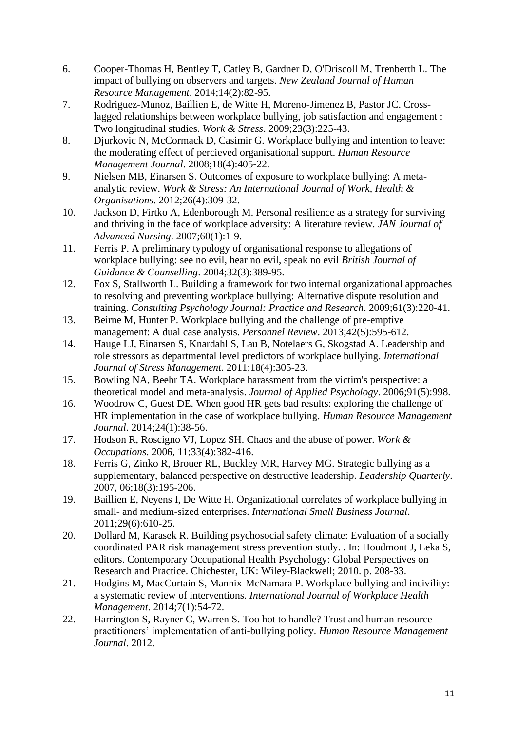- 6. Cooper-Thomas H, Bentley T, Catley B, Gardner D, O'Driscoll M, Trenberth L. The impact of bullying on observers and targets. *New Zealand Journal of Human Resource Management*. 2014;14(2):82-95.
- 7. Rodriguez-Munoz, Baillien E, de Witte H, Moreno-Jimenez B, Pastor JC. Crosslagged relationships between workplace bullying, job satisfaction and engagement : Two longitudinal studies. *Work & Stress*. 2009;23(3):225-43.
- <span id="page-10-0"></span>8. Djurkovic N, McCormack D, Casimir G. Workplace bullying and intention to leave: the moderating effect of percieved organisational support. *Human Resource Management Journal*. 2008;18(4):405-22.
- <span id="page-10-1"></span>9. Nielsen MB, Einarsen S. Outcomes of exposure to workplace bullying: A metaanalytic review. *Work & Stress: An International Journal of Work, Health & Organisations*. 2012;26(4):309-32.
- <span id="page-10-2"></span>10. Jackson D, Firtko A, Edenborough M. Personal resilience as a strategy for surviving and thriving in the face of workplace adversity: A literature review. *JAN Journal of Advanced Nursing*. 2007;60(1):1-9.
- <span id="page-10-3"></span>11. Ferris P. A preliminary typology of organisational response to allegations of workplace bullying: see no evil, hear no evil, speak no evil *British Journal of Guidance & Counselling*. 2004;32(3):389-95.
- <span id="page-10-4"></span>12. Fox S, Stallworth L. Building a framework for two internal organizational approaches to resolving and preventing workplace bullying: Alternative dispute resolution and training. *Consulting Psychology Journal: Practice and Research*. 2009;61(3):220-41.
- <span id="page-10-5"></span>13. Beirne M, Hunter P. Workplace bullying and the challenge of pre-emptive management: A dual case analysis. *Personnel Review*. 2013;42(5):595-612.
- <span id="page-10-6"></span>14. Hauge LJ, Einarsen S, Knardahl S, Lau B, Notelaers G, Skogstad A. Leadership and role stressors as departmental level predictors of workplace bullying. *International Journal of Stress Management*. 2011;18(4):305-23.
- <span id="page-10-7"></span>15. Bowling NA, Beehr TA. Workplace harassment from the victim's perspective: a theoretical model and meta-analysis. *Journal of Applied Psychology*. 2006;91(5):998.
- <span id="page-10-8"></span>16. Woodrow C, Guest DE. When good HR gets bad results: exploring the challenge of HR implementation in the case of workplace bullying. *Human Resource Management Journal*. 2014;24(1):38-56.
- <span id="page-10-9"></span>17. Hodson R, Roscigno VJ, Lopez SH. Chaos and the abuse of power. *Work & Occupations*. 2006, 11;33(4):382-416.
- <span id="page-10-10"></span>18. Ferris G, Zinko R, Brouer RL, Buckley MR, Harvey MG. Strategic bullying as a supplementary, balanced perspective on destructive leadership. *Leadership Quarterly*. 2007, 06;18(3):195-206.
- <span id="page-10-11"></span>19. Baillien E, Neyens I, De Witte H. Organizational correlates of workplace bullying in small- and medium-sized enterprises. *International Small Business Journal*. 2011;29(6):610-25.
- <span id="page-10-12"></span>20. Dollard M, Karasek R. Building psychosocial safety climate: Evaluation of a socially coordinated PAR risk management stress prevention study. . In: Houdmont J, Leka S, editors. Contemporary Occupational Health Psychology: Global Perspectives on Research and Practice. Chichester, UK: Wiley-Blackwell; 2010. p. 208-33.
- <span id="page-10-13"></span>21. Hodgins M, MacCurtain S, Mannix-McNamara P. Workplace bullying and incivility: a systematic review of interventions. *International Journal of Workplace Health Management*. 2014;7(1):54-72.
- <span id="page-10-14"></span>22. Harrington S, Rayner C, Warren S. Too hot to handle? Trust and human resource practitioners' implementation of anti-bullying policy. *Human Resource Management Journal*. 2012.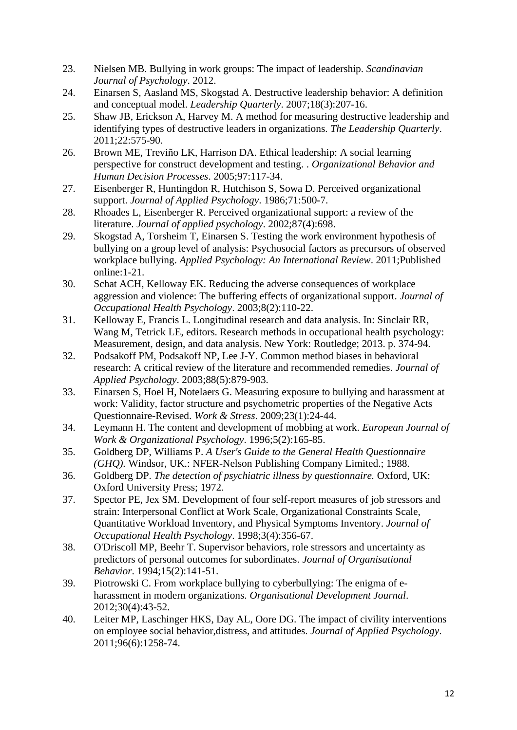- <span id="page-11-0"></span>23. Nielsen MB. Bullying in work groups: The impact of leadership. *Scandinavian Journal of Psychology*. 2012.
- <span id="page-11-1"></span>24. Einarsen S, Aasland MS, Skogstad A. Destructive leadership behavior: A definition and conceptual model. *Leadership Quarterly*. 2007;18(3):207-16.
- <span id="page-11-2"></span>25. Shaw JB, Erickson A, Harvey M. A method for measuring destructive leadership and identifying types of destructive leaders in organizations. *The Leadership Quarterly*. 2011;22:575-90.
- <span id="page-11-3"></span>26. Brown ME, Treviño LK, Harrison DA. Ethical leadership: A social learning perspective for construct development and testing. . *Organizational Behavior and Human Decision Processes*. 2005;97:117-34.
- <span id="page-11-4"></span>27. Eisenberger R, Huntingdon R, Hutchison S, Sowa D. Perceived organizational support. *Journal of Applied Psychology*. 1986;71:500-7.
- <span id="page-11-5"></span>28. Rhoades L, Eisenberger R. Perceived organizational support: a review of the literature. *Journal of applied psychology*. 2002;87(4):698.
- <span id="page-11-6"></span>29. Skogstad A, Torsheim T, Einarsen S. Testing the work environment hypothesis of bullying on a group level of analysis: Psychosocial factors as precursors of observed workplace bullying. *Applied Psychology: An International Review*. 2011;Published online:1-21.
- <span id="page-11-7"></span>30. Schat ACH, Kelloway EK. Reducing the adverse consequences of workplace aggression and violence: The buffering effects of organizational support. *Journal of Occupational Health Psychology*. 2003;8(2):110-22.
- <span id="page-11-8"></span>31. Kelloway E, Francis L. Longitudinal research and data analysis. In: Sinclair RR, Wang M, Tetrick LE, editors. Research methods in occupational health psychology: Measurement, design, and data analysis. New York: Routledge; 2013. p. 374-94.
- <span id="page-11-9"></span>32. Podsakoff PM, Podsakoff NP, Lee J-Y. Common method biases in behavioral research: A critical review of the literature and recommended remedies. *Journal of Applied Psychology*. 2003;88(5):879-903.
- <span id="page-11-10"></span>33. Einarsen S, Hoel H, Notelaers G. Measuring exposure to bullying and harassment at work: Validity, factor structure and psychometric properties of the Negative Acts Questionnaire-Revised. *Work & Stress*. 2009;23(1):24-44.
- <span id="page-11-11"></span>34. Leymann H. The content and development of mobbing at work. *European Journal of Work & Organizational Psychology*. 1996;5(2):165-85.
- <span id="page-11-12"></span>35. Goldberg DP, Williams P. *A User's Guide to the General Health Questionnaire (GHQ).* Windsor, UK.: NFER-Nelson Publishing Company Limited.; 1988.
- <span id="page-11-13"></span>36. Goldberg DP. *The detection of psychiatric illness by questionnaire.* Oxford, UK: Oxford University Press; 1972.
- <span id="page-11-14"></span>37. Spector PE, Jex SM. Development of four self-report measures of job stressors and strain: Interpersonal Conflict at Work Scale, Organizational Constraints Scale, Quantitative Workload Inventory, and Physical Symptoms Inventory. *Journal of Occupational Health Psychology*. 1998;3(4):356-67.
- <span id="page-11-15"></span>38. O'Driscoll MP, Beehr T. Supervisor behaviors, role stressors and uncertainty as predictors of personal outcomes for subordinates. *Journal of Organisational Behavior*. 1994;15(2):141-51.
- <span id="page-11-16"></span>39. Piotrowski C. From workplace bullying to cyberbullying: The enigma of eharassment in modern organizations. *Organisational Development Journal*. 2012;30(4):43-52.
- <span id="page-11-17"></span>40. Leiter MP, Laschinger HKS, Day AL, Oore DG. The impact of civility interventions on employee social behavior,distress, and attitudes. *Journal of Applied Psychology*. 2011;96(6):1258-74.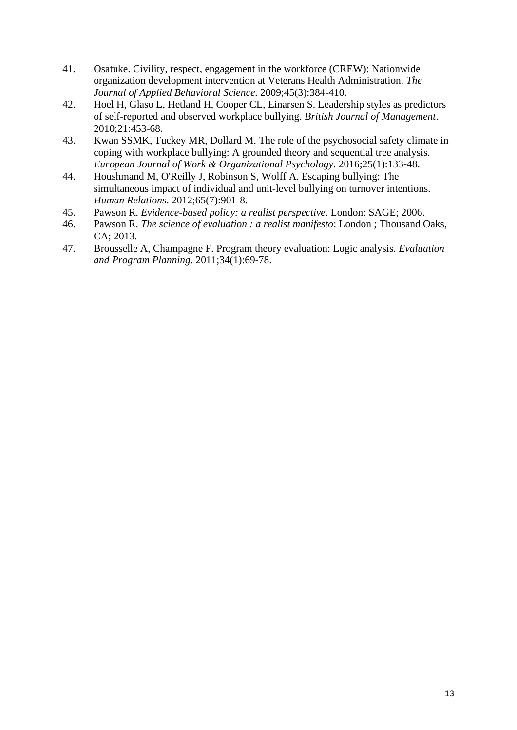- <span id="page-12-0"></span>41. Osatuke. Civility, respect, engagement in the workforce (CREW): Nationwide organization development intervention at Veterans Health Administration. *The Journal of Applied Behavioral Science*. 2009;45(3):384-410.
- <span id="page-12-1"></span>42. Hoel H, Glaso L, Hetland H, Cooper CL, Einarsen S. Leadership styles as predictors of self-reported and observed workplace bullying. *British Journal of Management*. 2010;21:453-68.
- <span id="page-12-2"></span>43. Kwan SSMK, Tuckey MR, Dollard M. The role of the psychosocial safety climate in coping with workplace bullying: A grounded theory and sequential tree analysis. *European Journal of Work & Organizational Psychology*. 2016;25(1):133-48.
- <span id="page-12-3"></span>44. Houshmand M, O'Reilly J, Robinson S, Wolff A. Escaping bullying: The simultaneous impact of individual and unit-level bullying on turnover intentions. *Human Relations*. 2012;65(7):901-8.
- <span id="page-12-4"></span>45. Pawson R. *Evidence-based policy: a realist perspective*. London: SAGE; 2006.
- <span id="page-12-5"></span>46. Pawson R. *The science of evaluation : a realist manifesto*: London ; Thousand Oaks, CA; 2013.
- <span id="page-12-6"></span>47. Brousselle A, Champagne F. Program theory evaluation: Logic analysis. *Evaluation and Program Planning*. 2011;34(1):69-78.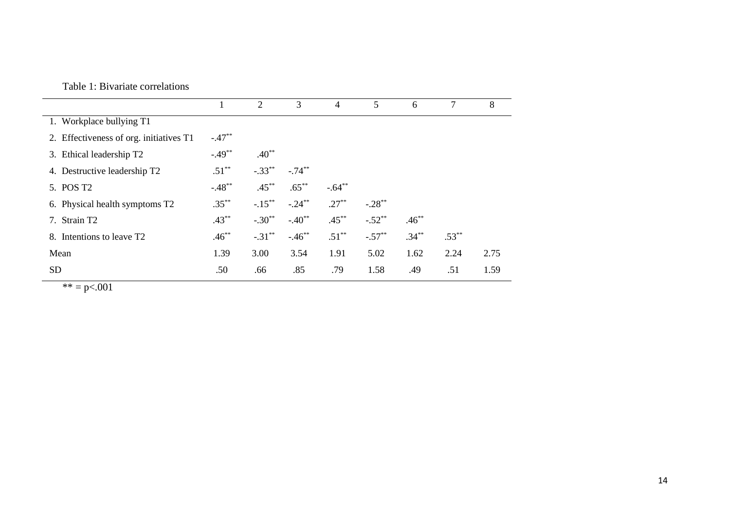|                                         |          | 2         | 3         | $\overline{4}$ | 5         | 6        | 7        | 8    |
|-----------------------------------------|----------|-----------|-----------|----------------|-----------|----------|----------|------|
| 1. Workplace bullying T1                |          |           |           |                |           |          |          |      |
| 2. Effectiveness of org. initiatives T1 | $-.47**$ |           |           |                |           |          |          |      |
| 3. Ethical leadership T2                | $-.49**$ | $.40**$   |           |                |           |          |          |      |
| 4. Destructive leadership T2            | $.51***$ | $-.33**$  | $-.74***$ |                |           |          |          |      |
| 5. POS T <sub>2</sub>                   | $-.48**$ | $.45***$  | $.65***$  | $-.64**$       |           |          |          |      |
| 6. Physical health symptoms T2          | $.35***$ | $-.15***$ | $-.24***$ | $.27***$       | $-.28***$ |          |          |      |
| 7. Strain T2                            | $.43***$ | $-.30**$  | $-.40**$  | $.45***$       | $-.52**$  | $.46***$ |          |      |
| 8. Intentions to leave T <sub>2</sub>   | $.46***$ | $-.31***$ | $-.46$ ** | $.51***$       | $-.57**$  | $.34***$ | $.53***$ |      |
| Mean                                    | 1.39     | 3.00      | 3.54      | 1.91           | 5.02      | 1.62     | 2.24     | 2.75 |
| <b>SD</b>                               | .50      | .66       | .85       | .79            | 1.58      | .49      | .51      | 1.59 |

 $** = p < .001$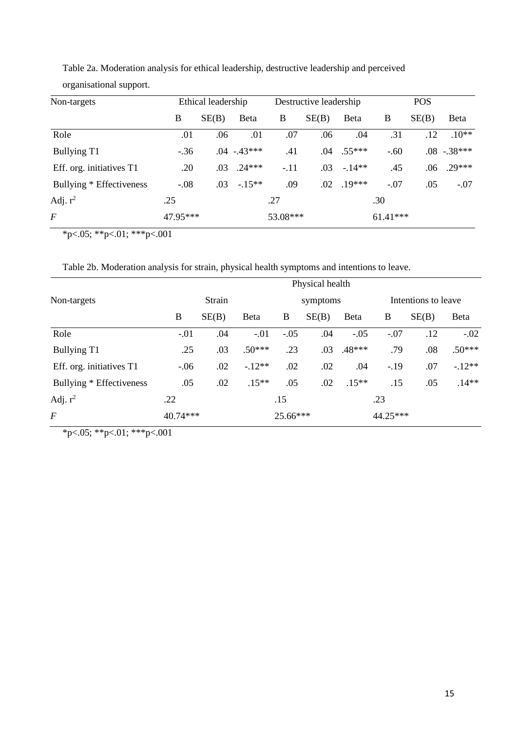| Non-targets              | Ethical leadership |       |                |          | Destructive leadership |          | <b>POS</b> |       |                |
|--------------------------|--------------------|-------|----------------|----------|------------------------|----------|------------|-------|----------------|
|                          | B                  | SE(B) | Beta           | B        | SE(B)                  | Beta     | B          | SE(B) | <b>B</b> eta   |
| Role                     | .01                | .06   | .01            | .07      | .06                    | .04      | .31        | .12   | $.10**$        |
| Bullying T1              | $-.36$             |       | $.04 - .43***$ | .41      | .04                    | $.55***$ | $-.60$     |       | $.08 - .38***$ |
| Eff. org. initiatives T1 | .20                | .03   | $.24***$       | $-.11$   | .03                    | $-14**$  | .45        | .06   | $29***$        |
| Bullying * Effectiveness | $-.08$             | .03   | $-15**$        | .09      | .02                    | $.19***$ | $-.07$     | .05   | $-.07$         |
| Adj. $r^2$               | .25                |       | .27            |          |                        | .30      |            |       |                |
| $\,F$                    | 47.95***           |       |                | 53.08*** |                        |          | $61.41***$ |       |                |

Table 2a. Moderation analysis for ethical leadership, destructive leadership and perceived organisational support.

 $*p<.05; **p<.01; **p<.001$ 

Table 2b. Moderation analysis for strain, physical health symptoms and intentions to leave.

| Non-targets              | Physical health |       |          |          |       |         |                     |       |          |
|--------------------------|-----------------|-------|----------|----------|-------|---------|---------------------|-------|----------|
|                          | Strain          |       |          | symptoms |       |         | Intentions to leave |       |          |
|                          | B               | SE(B) | Beta     | B        | SE(B) | Beta    | B                   | SE(B) | Beta     |
| Role                     | $-.01$          | .04   | $-.01$   | $-.05$   | .04   | $-.05$  | $-.07$              | .12   | $-.02$   |
| Bullying T1              | .25             | .03   | $.50***$ | .23      | .03   | .48***  | .79                 | .08   | $.50***$ |
| Eff. org. initiatives T1 | $-.06$          | .02   | $-.12**$ | .02      | .02   | .04     | $-.19$              | .07   | $-.12**$ |
| Bullying * Effectiveness | .05             | .02   | $.15**$  | .05      | .02   | $.15**$ | .15                 | .05   | $.14**$  |
| Adj. $r^2$               | .22             |       |          | .15      |       |         | .23                 |       |          |
| $\boldsymbol{F}$         | $40.74***$      |       |          | 25.66*** |       |         | 44.25***            |       |          |

\*p<.05; \*\*p<.01; \*\*\*p<.001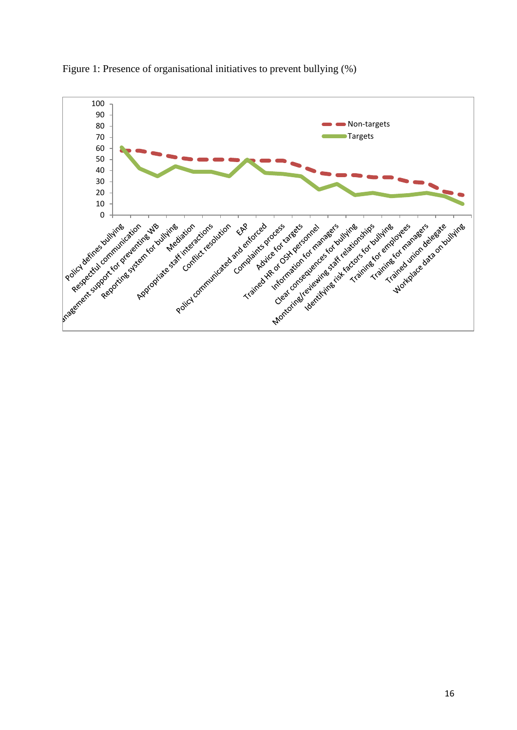

Figure 1: Presence of organisational initiatives to prevent bullying (%)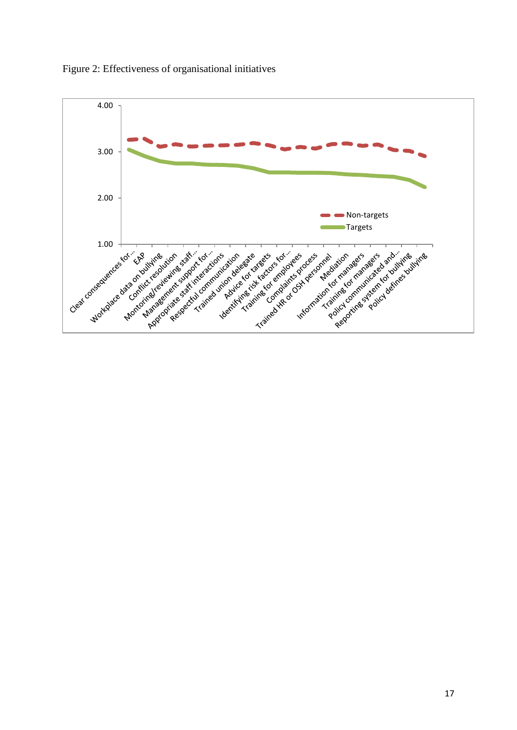

Figure 2: Effectiveness of organisational initiatives